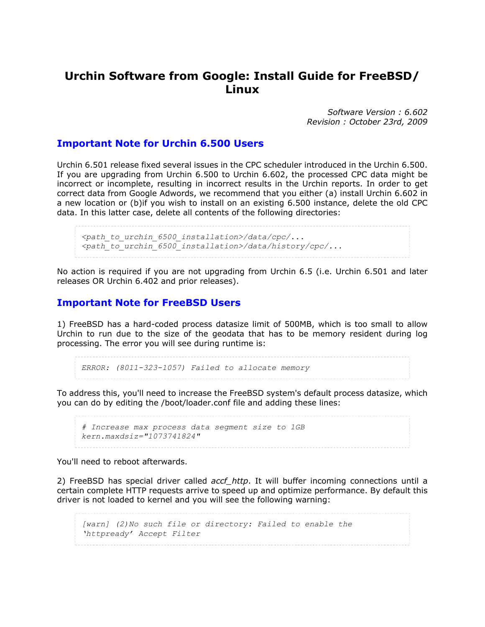# **Urchin Software from Google: Install Guide for FreeBSD/ Linux**

*Software Version : 6.602 Revision : October 23rd, 2009*

### **Important Note for Urchin 6.500 Users**

Urchin 6.501 release fixed several issues in the CPC scheduler introduced in the Urchin 6.500. If you are upgrading from Urchin 6.500 to Urchin 6.602, the processed CPC data might be incorrect or incomplete, resulting in incorrect results in the Urchin reports. In order to get correct data from Google Adwords, we recommend that you either (a) install Urchin 6.602 in a new location or (b)if you wish to install on an existing 6.500 instance, delete the old CPC data. In this latter case, delete all contents of the following directories:

*<path\_to\_urchin\_6500\_installation>/data/cpc/... <path\_to\_urchin\_6500\_installation>/data/history/cpc/...*

No action is required if you are not upgrading from Urchin 6.5 (i.e. Urchin 6.501 and later releases OR Urchin 6.402 and prior releases).

#### **Important Note for FreeBSD Users**

1) FreeBSD has a hard-coded process datasize limit of 500MB, which is too small to allow Urchin to run due to the size of the geodata that has to be memory resident during log processing. The error you will see during runtime is:

```
ERROR: (8011-323-1057) Failed to allocate memory
```
To address this, you'll need to increase the FreeBSD system's default process datasize, which you can do by editing the /boot/loader.conf file and adding these lines:

```
# Increase max process data segment size to 1GB
kern.maxdsiz="1073741824"
```
You'll need to reboot afterwards.

2) FreeBSD has special driver called *accf\_http*. It will buffer incoming connections until a certain complete HTTP requests arrive to speed up and optimize performance. By default this driver is not loaded to kernel and you will see the following warning:

*[warn] (2)No such file or directory: Failed to enable the 'httpready' Accept Filter*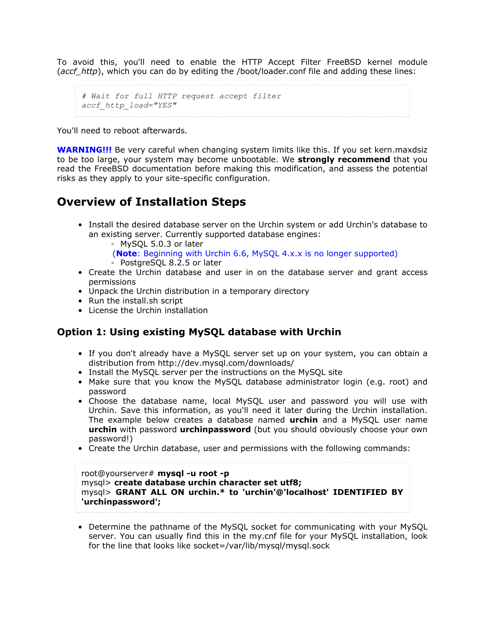To avoid this, you'll need to enable the HTTP Accept Filter FreeBSD kernel module (*accf\_http*), which you can do by editing the /boot/loader.conf file and adding these lines:

```
# Wait for full HTTP request accept filter
accf_http_load="YES"
```
You'll need to reboot afterwards.

**WARNING!!!** Be very careful when changing system limits like this. If you set kern.maxdsiz to be too large, your system may become unbootable. We **strongly recommend** that you read the FreeBSD documentation before making this modification, and assess the potential risks as they apply to your site-specific configuration.

# **Overview of Installation Steps**

• Install the desired database server on the Urchin system or add Urchin's database to an existing server. Currently supported database engines:

◦ MySQL 5.0.3 or later

(**Note**: Beginning with Urchin 6.6, MySQL 4.x.x is no longer supported)

- PostgreSQL 8.2.5 or later
- Create the Urchin database and user in on the database server and grant access permissions
- Unpack the Urchin distribution in a temporary directory
- Run the install.sh script
- License the Urchin installation

### **Option 1: Using existing MySQL database with Urchin**

- If you don't already have a MySQL server set up on your system, you can obtain a distribution from http://dev.mysql.com/downloads/
- Install the MySQL server per the instructions on the MySQL site
- Make sure that you know the MySQL database administrator login (e.g. root) and password
- Choose the database name, local MySQL user and password you will use with Urchin. Save this information, as you'll need it later during the Urchin installation. The example below creates a database named **urchin** and a MySQL user name **urchin** with password **urchinpassword** (but you should obviously choose your own password!)
- Create the Urchin database, user and permissions with the following commands:

root@yourserver# **mysql -u root -p** mysql> **create database urchin character set utf8;** mysql> **GRANT ALL ON urchin.\* to 'urchin'@'localhost' IDENTIFIED BY 'urchinpassword';**

• Determine the pathname of the MySQL socket for communicating with your MySQL server. You can usually find this in the my.cnf file for your MySQL installation, look for the line that looks like socket=/var/lib/mysql/mysql.sock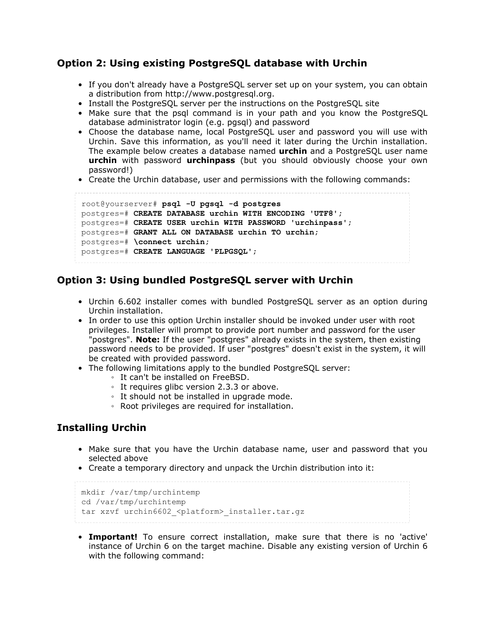### **Option 2: Using existing PostgreSQL database with Urchin**

- If you don't already have a PostgreSQL server set up on your system, you can obtain a distribution from http://www.postgresql.org.
- Install the PostgreSQL server per the instructions on the PostgreSQL site
- Make sure that the psql command is in your path and you know the PostgreSQL database administrator login (e.g. pgsql) and password
- Choose the database name, local PostgreSQL user and password you will use with Urchin. Save this information, as you'll need it later during the Urchin installation. The example below creates a database named **urchin** and a PostgreSQL user name **urchin** with password **urchinpass** (but you should obviously choose your own password!)
- Create the Urchin database, user and permissions with the following commands:

```
root@yourserver# psql -U pgsql -d postgres
postgres=# CREATE DATABASE urchin WITH ENCODING 'UTF8';
postgres=# CREATE USER urchin WITH PASSWORD 'urchinpass';
postgres=# GRANT ALL ON DATABASE urchin TO urchin;
postgres=# \connect urchin;
postgres=# CREATE LANGUAGE 'PLPGSQL';
```
### **Option 3: Using bundled PostgreSQL server with Urchin**

- Urchin 6.602 installer comes with bundled PostgreSQL server as an option during Urchin installation.
- In order to use this option Urchin installer should be invoked under user with root privileges. Installer will prompt to provide port number and password for the user "postgres". **Note:** If the user "postgres" already exists in the system, then existing password needs to be provided. If user "postgres" doesn't exist in the system, it will be created with provided password.
- The following limitations apply to the bundled PostgreSQL server:
	- It can't be installed on FreeBSD.
	- It requires glibc version 2.3.3 or above.
	- It should not be installed in upgrade mode.
	- Root privileges are required for installation.

## **Installing Urchin**

- Make sure that you have the Urchin database name, user and password that you selected above
- Create a temporary directory and unpack the Urchin distribution into it:

```
mkdir /var/tmp/urchintemp
cd /var/tmp/urchintemp
tar xzvf urchin6602 <platform> installer.tar.gz
```
• **Important!** To ensure correct installation, make sure that there is no 'active' instance of Urchin 6 on the target machine. Disable any existing version of Urchin 6 with the following command: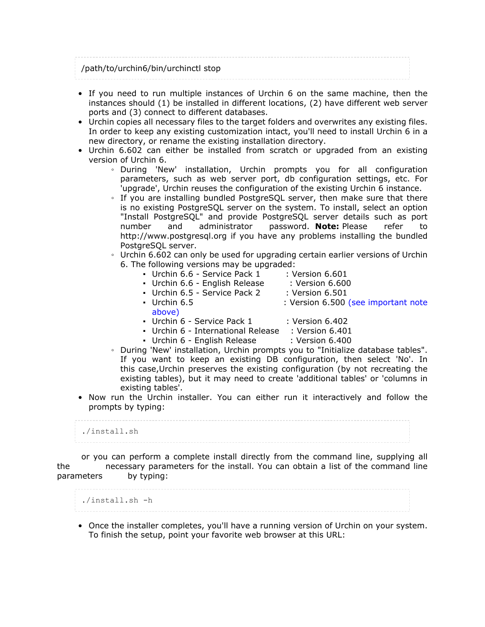| /path/to/urchin6/bin/urchinctl stop |  |
|-------------------------------------|--|

- If you need to run multiple instances of Urchin 6 on the same machine, then the instances should (1) be installed in different locations, (2) have different web server ports and (3) connect to different databases.
- Urchin copies all necessary files to the target folders and overwrites any existing files. In order to keep any existing customization intact, you'll need to install Urchin 6 in a new directory, or rename the existing installation directory.
- Urchin 6.602 can either be installed from scratch or upgraded from an existing version of Urchin 6.
	- During 'New' installation, Urchin prompts you for all configuration parameters, such as web server port, db configuration settings, etc. For 'upgrade', Urchin reuses the configuration of the existing Urchin 6 instance.
	- If you are installing bundled PostgreSQL server, then make sure that there is no existing PostgreSQL server on the system. To install, select an option "Install PostgreSQL" and provide PostgreSQL server details such as port number and administrator password. **Note:** Please refer to http://www.postgresql.org if you have any problems installing the bundled PostgreSOL server.
	- Urchin 6.602 can only be used for upgrading certain earlier versions of Urchin 6. The following versions may be upgraded:
		- Urchin 6.6 Service Pack 1 : Version 6.601
		- Urchin 6.6 English Release : Version 6.600
		- Urchin 6.5 Service Pack 2 : Version 6.501
		- Urchin 6.5 : Version 6.500 (see important note
			- above)
		- Urchin 6 Service Pack 1 : Version 6.402
		- Urchin 6 International Release : Version 6.401
		- Urchin 6 English Release : Version 6.400
	- During 'New' installation, Urchin prompts you to "Initialize database tables". If you want to keep an existing DB configuration, then select 'No'. In this case,Urchin preserves the existing configuration (by not recreating the existing tables), but it may need to create 'additional tables' or 'columns in existing tables'.
- Now run the Urchin installer. You can either run it interactively and follow the prompts by typing:

./install.sh

or you can perform a complete install directly from the command line, supplying all the necessary parameters for the install. You can obtain a list of the command line parameters by typing:

./install.sh -h

• Once the installer completes, you'll have a running version of Urchin on your system. To finish the setup, point your favorite web browser at this URL: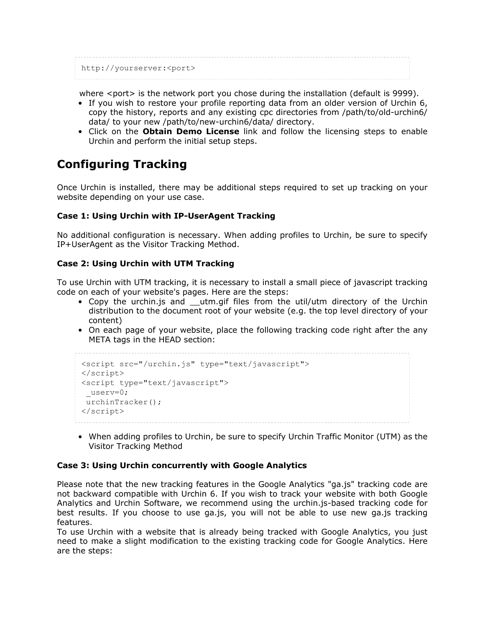http://yourserver:<port>

where <port> is the network port you chose during the installation (default is 9999).

- If you wish to restore your profile reporting data from an older version of Urchin 6, copy the history, reports and any existing cpc directories from /path/to/old-urchin6/ data/ to your new /path/to/new-urchin6/data/ directory.
- Click on the **Obtain Demo License** link and follow the licensing steps to enable Urchin and perform the initial setup steps.

# **Configuring Tracking**

Once Urchin is installed, there may be additional steps required to set up tracking on your website depending on your use case.

### **Case 1: Using Urchin with IP-UserAgent Tracking**

No additional configuration is necessary. When adding profiles to Urchin, be sure to specify IP+UserAgent as the Visitor Tracking Method.

### **Case 2: Using Urchin with UTM Tracking**

To use Urchin with UTM tracking, it is necessary to install a small piece of javascript tracking code on each of your website's pages. Here are the steps:

- Copy the urchin.js and \_\_utm.gif files from the util/utm directory of the Urchin distribution to the document root of your website (e.g. the top level directory of your content)
- On each page of your website, place the following tracking code right after the any META tags in the HEAD section:

```
<script src="/urchin.js" type="text/javascript">
</script>
<script type="text/javascript">
 _userv=0;
urchinTracker();
</script>
```
• When adding profiles to Urchin, be sure to specify Urchin Traffic Monitor (UTM) as the Visitor Tracking Method

#### **Case 3: Using Urchin concurrently with Google Analytics**

Please note that the new tracking features in the Google Analytics "ga.js" tracking code are not backward compatible with Urchin 6. If you wish to track your website with both Google Analytics and Urchin Software, we recommend using the urchin.js-based tracking code for best results. If you choose to use ga.js, you will not be able to use new ga.js tracking features.

To use Urchin with a website that is already being tracked with Google Analytics, you just need to make a slight modification to the existing tracking code for Google Analytics. Here are the steps: